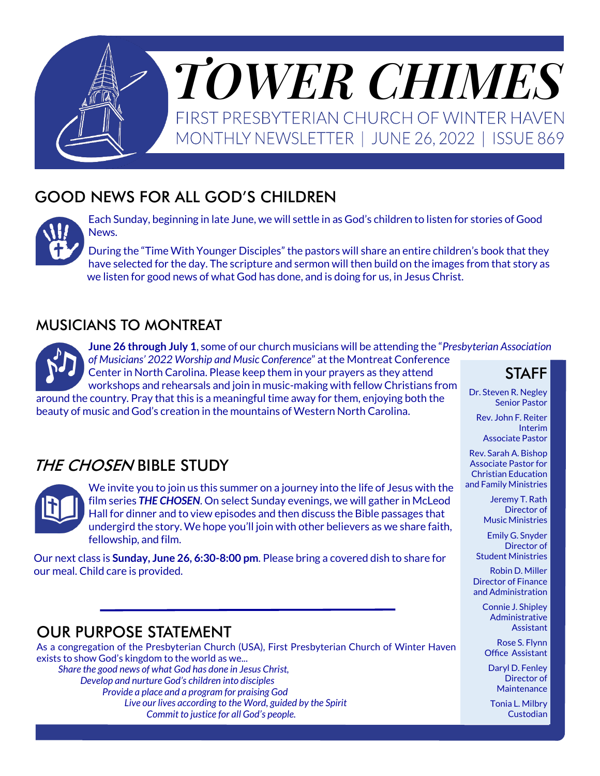

# GOOD NEWS FOR ALL GOD'S CHILDREN



Each Sunday, beginning in late June, we will settle in as God's children to listen for stories of Good News.

During the "Time With Younger Disciples" the pastors will share an entire children's book that they have selected for the day. The scripture and sermon will then build on the images from that story as we listen for good news of what God has done, and is doing for us, in Jesus Christ.

#### MUSICIANS TO MONTREAT



**June 26 through July 1**, some of our church musicians will be attending the "*Presbyterian Association of Musicians' 2022 Worship and Music Conference*" at the Montreat Conference Center in North Carolina. Please keep them in your prayers as they attend workshops and rehearsals and join in music-making with fellow Christians from

around the country. Pray that this is a meaningful time away for them, enjoying both the beauty of music and God's creation in the mountains of Western North Carolina.

### THE CHOSEN BIBLE STUDY



We invite you to join us this summer on a journey into the life of Jesus with the film series *THE CHOSEN*. On select Sunday evenings, we will gather in McLeod Hall for dinner and to view episodes and then discuss the Bible passages that undergird the story. We hope you'll join with other believers as we share faith, fellowship, and film.

Our next class is **Sunday, June 26, 6:30-8:00 pm**. Please bring a covered dish to share for our meal. Child care is provided.

### OUR PURPOSE STATEMENT

As a congregation of the Presbyterian Church (USA), First Presbyterian Church of Winter Haven exists to show God's kingdom to the world as we... *Share the good news of what God has done in Jesus Christ,* 

*Develop and nurture God's children into disciples Provide a place and a program for praising God Live our lives according to the Word, guided by the Spirit Commit to justice for all God's people.*

STAFF

Dr. Steven R. Negley Senior Pastor

Rev. John F. Reiter Interim Associate Pastor

Rev. Sarah A. Bishop Associate Pastor for Christian Education and Family Ministries

> Jeremy T. Rath Director of Music Ministries

Emily G. Snyder Director of Student Ministries

Robin D. Miller Director of Finance and Administration

Connie J. Shipley Administrative Assistant

Rose S. Flynn Office Assistant

Daryl D. Fenley Director of **Maintenance** 

Tonia L. Milbry Custodian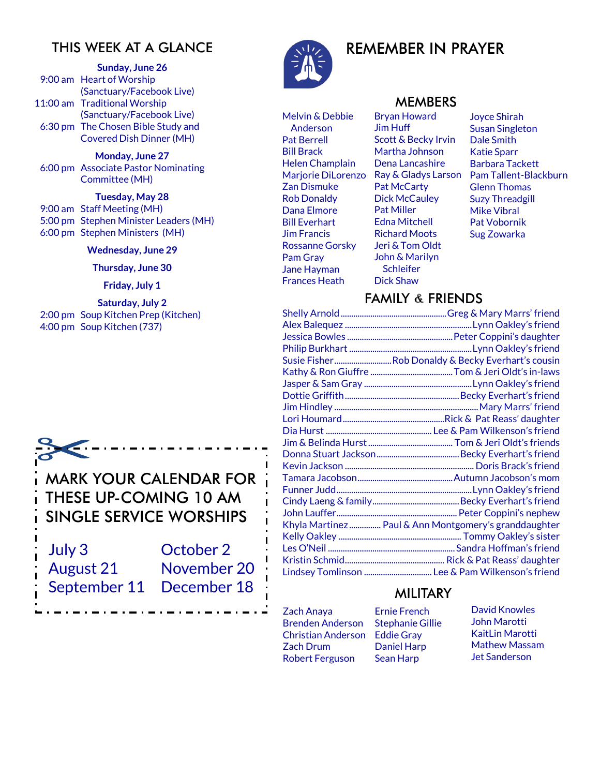### THIS WEEK AT A GLANCE

**Sunday, June 26**

9:00 am Heart of Worship (Sanctuary/Facebook Live) 11:00 am Traditional Worship (Sanctuary/Facebook Live) 6:30 pm The Chosen Bible Study and Covered Dish Dinner (MH)

**Monday, June 27** 6:00 pm Associate Pastor Nominating Committee (MH)

#### **Tuesday, May 28**

9:00 am Staff Meeting (MH) 5:00 pm Stephen Minister Leaders (MH) 6:00 pm Stephen Ministers (MH)

#### **Wednesday, June 29**

#### **Thursday, June 30**

#### **Friday, July 1**

**Saturday, July 2** 2:00 pm Soup Kitchen Prep (Kitchen) 4:00 pm Soup Kitchen (737)



THESE UP-COMING 10 AM SINGLE SERVICE WORSHIPS

| July 3                   | October 2   |
|--------------------------|-------------|
| August 21                | November 20 |
| September 11 December 18 |             |
|                          |             |



Melvin & Debbie Anderson Pat Berrell Bill Brack Helen Champlain Marjorie DiLorenzo Zan Dismuke Rob Donaldy Dana Elmore Bill Everhart Jim Francis Rossanne Gorsky Pam Gray Jane Hayman Frances Heath

# REMEMBER IN PRAYER

#### MEMBERS

Bryan Howard Jim Huff Scott & Becky Irvin Martha Johnson Dena Lancashire Ray & Gladys Larson Pat McCarty Dick McCauley Pat Miller Edna Mitchell Richard Moots Jeri & Tom Oldt John & Marilyn **Schleifer** Dick Shaw

Joyce Shirah Susan Singleton Dale Smith Katie Sparr Barbara Tackett Pam Tallent-Blackburn Glenn Thomas Suzy Threadgill Mike Vibral Pat Vobornik Sug Zowarka

#### FAMILY & FRIENDS

| Susie FisherRob Donaldy & Becky Everhart's cousin    |
|------------------------------------------------------|
|                                                      |
|                                                      |
|                                                      |
|                                                      |
|                                                      |
|                                                      |
|                                                      |
|                                                      |
|                                                      |
|                                                      |
|                                                      |
|                                                      |
|                                                      |
| Khyla Martinez Paul & Ann Montgomery's granddaughter |
|                                                      |
|                                                      |
|                                                      |
| Lindsey Tomlinson  Lee & Pam Wilkenson's friend      |

#### MILITARY

- Zach Anaya Brenden Anderson Christian Anderson Zach Drum Robert Ferguson
- Ernie French Stephanie Gillie Eddie Gray Daniel Harp Sean Harp

David Knowles John Marotti KaitLin Marotti Mathew Massam Jet Sanderson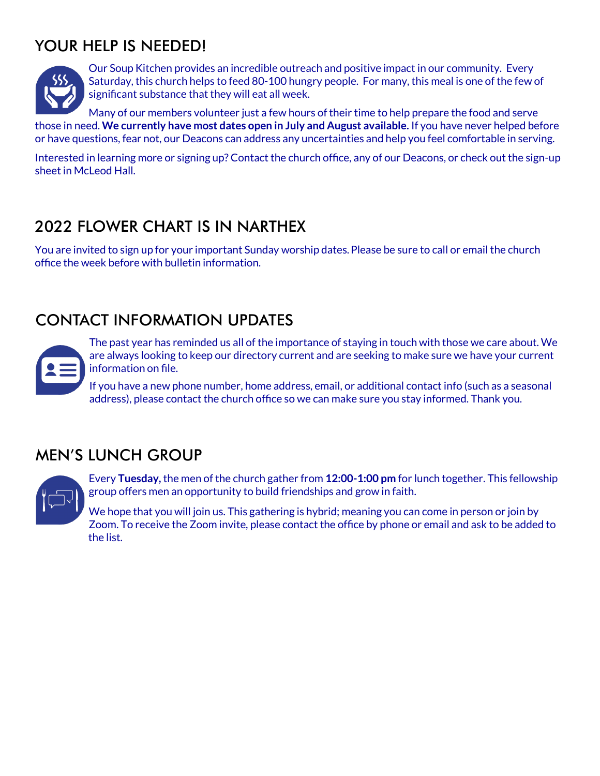# YOUR HELP IS NEEDED!



Our Soup Kitchen provides an incredible outreach and positive impact in our community. Every Saturday, this church helps to feed 80-100 hungry people. For many, this meal is one of the few of significant substance that they will eat all week.

Many of our members volunteer just a few hours of their time to help prepare the food and serve those in need. **We currently have most dates open in July and August available.** If you have never helped before or have questions, fear not, our Deacons can address any uncertainties and help you feel comfortable in serving.

Interested in learning more or signing up? Contact the church office, any of our Deacons, or check out the sign-up sheet in McLeod Hall.

# 2022 FLOWER CHART IS IN NARTHEX

You are invited to sign up for your important Sunday worship dates.Please be sure to call or email the church office the week before with bulletin information.

# CONTACT INFORMATION UPDATES

The past year has reminded us all of the importance of staying in touch with those we care about. We are always looking to keep our directory current and are seeking to make sure we have your current information on file.

If you have a new phone number, home address, email, or additional contact info (such as a seasonal address), please contact the church office so we can make sure you stay informed. Thank you.

### MEN'S LUNCH GROUP



Every **Tuesday,** the men of the church gather from **12:00-1:00 pm** for lunch together. This fellowship group offers men an opportunity to build friendships and grow in faith.

We hope that you will join us. This gathering is hybrid; meaning you can come in person or join by Zoom. To receive the Zoom invite, please contact the office by phone or email and ask to be added to the list.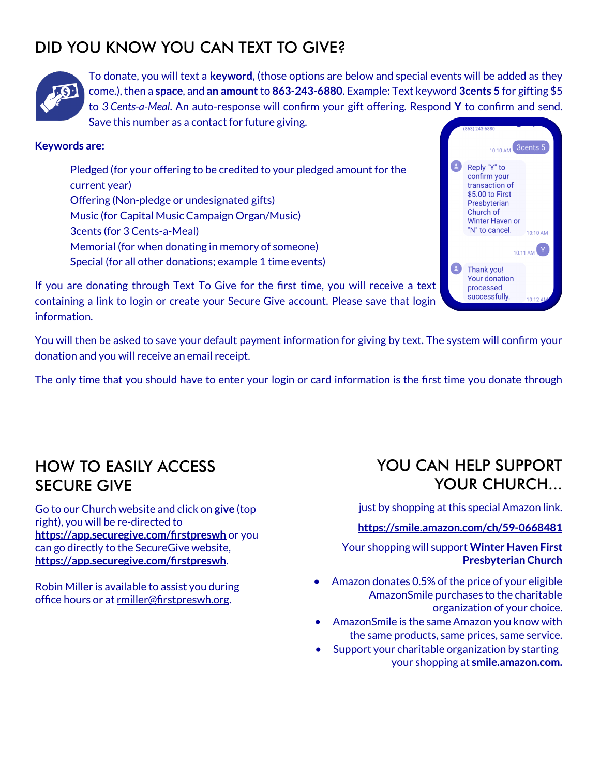# DID YOU KNOW YOU CAN TEXT TO GIVE?



To donate, you will text a **keyword**, (those options are below and special events will be added as they come.), then a **space**, and **an amount** to **863-243-6880**. Example: Text keyword **3cents 5** for gifting \$5 to *3 Cents-a-Meal*. An auto-response will confirm your gift offering. Respond **Y** to confirm and send. Save this number as a contact for future giving.

#### **Keywords are:**

Pledged (for your offering to be credited to your pledged amount for the current year) Offering (Non-pledge or undesignated gifts) Music (for Capital Music Campaign Organ/Music) 3cents (for 3 Cents-a-Meal) Memorial (for when donating in memory of someone) Special (for all other donations; example 1 time events)



If you are donating through Text To Give for the first time, you will receive a text containing a link to login or create your Secure Give account. Please save that login information.

You will then be asked to save your default payment information for giving by text. The system will confirm your donation and you will receive an email receipt.

The only time that you should have to enter your login or card information is the first time you donate through

### HOW TO EASILY ACCESS SECURE GIVE

Go to our Church website and click on **give** (top right), you will be re-directed to **<https://app.securegive.com/firstpreswh>** or you can go directly to the SecureGive website, **<https://app.securegive.com/firstpreswh>**.

Robin Miller is available to assist you during office hours or at [rmiller@firstpreswh.org.](mailto:rmiller@firstpreswh.org)

### YOU CAN HELP SUPPORT YOUR CHURCH...

just by shopping at this special Amazon link.

**[https://smile.amazon.com/ch/59](https://smile.amazon.com/ch/59-0668481)-0668481**

Your shopping will support **Winter Haven First Presbyterian Church**

- Amazon donates 0.5% of the price of your eligible AmazonSmile purchases to the charitable organization of your choice.
- AmazonSmile is the same Amazon you know with the same products, same prices, same service.
- Support your charitable organization by starting your shopping at **smile.amazon.com.**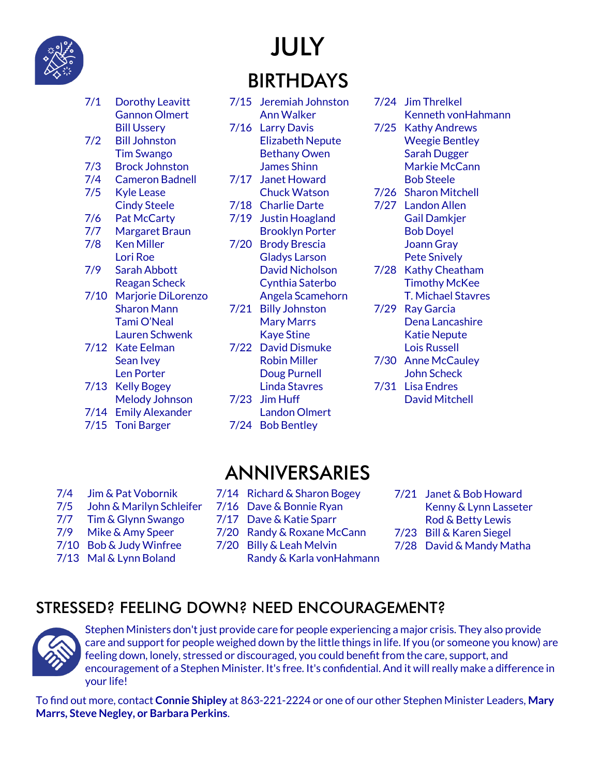

# JULY BIRTHDAYS

| 7/1  | Dorothy Leavitt           |
|------|---------------------------|
|      | <b>Gannon Olmert</b>      |
|      | Bill Ussery               |
| 7/2  | <b>Bill Johnston</b>      |
|      | <b>Tim Swango</b>         |
| 7/3  | <b>Brock Johnston</b>     |
| 7/4  | <b>Cameron Badnell</b>    |
| 7/5  | Kyle Lease                |
|      | <b>Cindy Steele</b>       |
| 7/6  | <b>Pat McCarty</b>        |
| 7/7  | <b>Margaret Braun</b>     |
| 7/8  | <b>Ken Miller</b>         |
|      | Lori Roe                  |
| 7/9  | <b>Sarah Abbott</b>       |
|      | <b>Reagan Scheck</b>      |
| 7/10 | <b>Marjorie DiLorenzo</b> |
|      | <b>Sharon Mann</b>        |
|      | Tami O'Neal               |
|      | <b>Lauren Schwenk</b>     |
| 7/12 | <b>Kate Eelman</b>        |
|      | Sean Ivey                 |
|      | <b>Len Porter</b>         |
| 7/13 | <b>Kelly Bogey</b>        |
|      | <b>Melody Johnson</b>     |
| 7/14 | <b>Emily Alexander</b>    |
| 7/15 | <b>Toni Barger</b>        |

- 7/15 Jeremiah Johnston Ann Walker 7/16 Larry Davis Elizabeth Nepute Bethany Owen James Shinn 7/17 Janet Howard
- Chuck Watson 7/18 Charlie Darte
- 7/19 Justin Hoagland Brooklyn Porter
- 7/20 Brody Brescia Gladys Larson David Nicholson Cynthia Saterbo Angela Scamehorn
- 7/21 Billy Johnston Mary Marrs Kaye Stine 7/22 David Dismuke
	- Robin Miller Doug Purnell Linda Stavres
- 7/23 Jim Huff
- Landon Olmert 7/24 Bob Bentley
- 7/24 Jim Threlkel Kenneth vonHahmann
- 7/25 Kathy Andrews Weegie Bentley Sarah Dugger Markie McCann Bob Steele
- 7/26 Sharon Mitchell
- 7/27 Landon Allen Gail Damkjer Bob Doyel Joann Gray Pete Snively
- 7/28 Kathy Cheatham Timothy McKee T. Michael Stavres
- 7/29 Ray Garcia Dena Lancashire Katie Nepute Lois Russell
- 7/30 Anne McCauley John Scheck 7/31 Lisa Endres
	- David Mitchell

- 7/4 Jim & Pat Vobornik
- 7/5 John & Marilyn Schleifer
- 7/7 Tim & Glynn Swango
- 7/9 Mike & Amy Speer
- 7/10 Bob & Judy Winfree
- 
- 7/13 Mal & Lynn Boland
- 7/14 Richard & Sharon Bogey

ANNIVERSARIES

- 7/16 Dave & Bonnie Ryan
- 7/17 Dave & Katie Sparr
- 7/20 Randy & Roxane McCann
- 7/20 Billy & Leah Melvin
	- Randy & Karla vonHahmann
- 7/21 Janet & Bob Howard Kenny & Lynn Lasseter Rod & Betty Lewis
- 7/23 Bill & Karen Siegel
- 7/28 David & Mandy Matha

# STRESSED? FEELING DOWN? NEED ENCOURAGEMENT?



Stephen Ministers don't just provide care for people experiencing a major crisis. They also provide care and support for people weighed down by the little things in life. If you (or someone you know) are feeling down, lonely, stressed or discouraged, you could benefit from the care, support, and encouragement of a Stephen Minister. It's free. It's confidential. And it will really make a difference in your life!

To find out more, contact **Connie Shipley** at 863-221-2224 or one of our other Stephen Minister Leaders, **Mary Marrs, Steve Negley, or Barbara Perkins**.